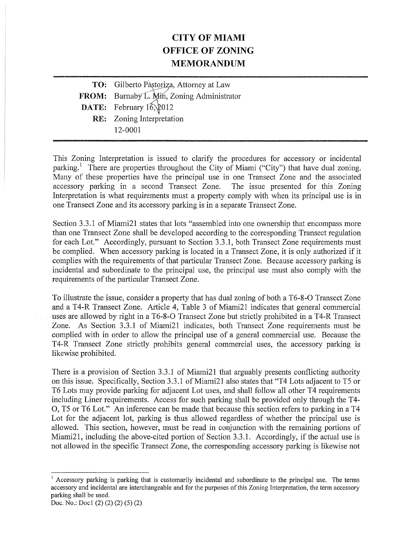## CITY OF MIAMI OFFICE OF ZONING MEMORANDUM

| TO: Gilberto Pàstoriza, Attorney at Law    |
|--------------------------------------------|
| FROM: Barnaby L. Min, Zoning Administrator |
| DATE: February 16, 2012                    |
| <b>RE:</b> Zoning Interpretation           |
| 12-0001                                    |
|                                            |

This Zoning Interpretation is issued to clarify the procedures for accessory or incidental parking.<sup>1</sup> There are properties throughout the City of Miami ("City") that have dual zoning. Many of these properties have the principal use in one Transect Zone and the associated accessory parking in a second Transect Zone. The issue presented for this Zoning Interpretation is what requirements must a property comply with when its principal use is in one Transect Zone and its accessory parking is in a separate Transect Zone.

Section 3.3.1 of Miami2l states that lots "assembled into one ownership that encompass more than one Transect Zone shall be developed according to the corresponding Transect regulation for each Lot." Accordingly, pursuant to Section 3.3.1, both Transect Zone requirements must be complied. When accessory parking is located in a Transect Zone, it is only authorized if it complies with the requirements of that particular Transect Zone. Because accessory parking is incidental and subordinate to the principal use, the principal use must also comply with the requirements of the particular Transect Zone.

To illustrate the issue, consider a property that has dual zoning of both a T6-8-O Transect Zone and a T4-R Transect Zone. Article 4, Table 3 of Miami2l indicates that general commercial uses are allowed by right in a T6-8-0 Transect Zone but strictly prohibited in a T4-R Transect Zone. As Section 3.3.1 of Miami2l indicates, both Transect Zone requirements must be complied with in order to allow the principal use of a general commercial use. Because the T4-R Transect Zone strictly prohibits general commercial uses, the accessory parking is likewise prohibited.

There is a provision of Section 3.3.1 of Miami2l that arguably presents conflicting authority on this issue. Specifically, Section 3.3.1 of Miami2l also states that "T4 Lots adjacent to T5 or T6 Lots may provide parking for adjacent Lot uses, and shall follow all other T4 requirements including Liner requirements. Access for such parking shall be provided only through the T4- 0, T5 or T6 Lot." An inference can be made that because this section refers to parking in a T4 Lot for the adjacent lot, parking is thus allowed regardless of whether the principal use is allowed. This section, however, must be read in conjunction with the remaining portions of Miami2l, including the above-cited portion of Section 3.3.1. Accordingly, if the actual use is not allowed in the specific Transect Zone, the corresponding accessory parking is likewise not

<sup>&</sup>lt;sup>1</sup> Accessory parking is parking that is customarily incidental and subordinate to the principal use. The terms accessory and incidental are interchangeable and for the purposes of this Zoning Interpretation, the term accessory parking shall be used.